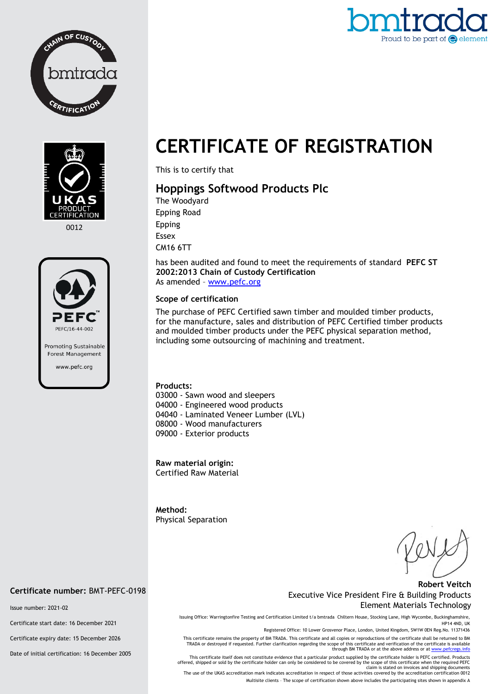





0012



# **CERTIFICATE OF REGISTRATION**

This is to certify that

# **Hoppings Softwood Products Plc**

The Woodyard Epping Road Epping Essex CM16 6TT

has been audited and found to meet the requirements of standard **PEFC ST 2002:2013 Chain of Custody Certification** As amended – [www.pefc.org](http://www.pefc.org/)

## **Scope of certification**

The purchase of PEFC Certified sawn timber and moulded timber products, for the manufacture, sales and distribution of PEFC Certified timber products and moulded timber products under the PEFC physical separation method, including some outsourcing of machining and treatment.

#### **Products:**

03000 - Sawn wood and sleepers 04000 - Engineered wood products 04040 - Laminated Veneer Lumber (LVL) 08000 - Wood manufacturers 09000 - Exterior products

**Raw material origin:** Certified Raw Material

**Method:**  Physical Separation

### **Robert Veitch** Executive Vice President Fire & Building Products Element Materials Technology

Issuing Office: Warringtonfire Testing and Certification Limited t/a bmtrada Chiltern House, Stocking Lane, High Wycombe, Buckinghamshire, HP14 4ND, UK

Registered Office: 10 Lower Grosvenor Place, London, United Kingdom, SW1W 0EN Reg.No. 11371436

This certificate remains the property of BM TRADA. This certificate and all copies or reproductions of the certificate shall be returned to BM TRADA or destroyed if requested. Further clarification regarding the scope of this certificate and verification of the certificate is available<br>through BM TRADA or at the above address or a[t www.pefcregs.info](http://www.pefcregs.info/)

This certificate itself does not constitute evidence that a particular product supplied by the certificate holder is PEFC certified. Products offered, shipped or sold by the certificate holder can only be considered to be covered by the scope of this certificate when the required PEFC<br>claim is stated on invoices and shipping documents<br>The use of the UKAS accredi

Multisite clients – The scope of certification shown above includes the participating sites shown in appendix A

# **Certificate number:** BMT-PEFC-0198

Issue number: 2021-02

Certificate start date: 16 December 2021

Certificate expiry date: 15 December 2026

Date of initial certification: 16 December 2005